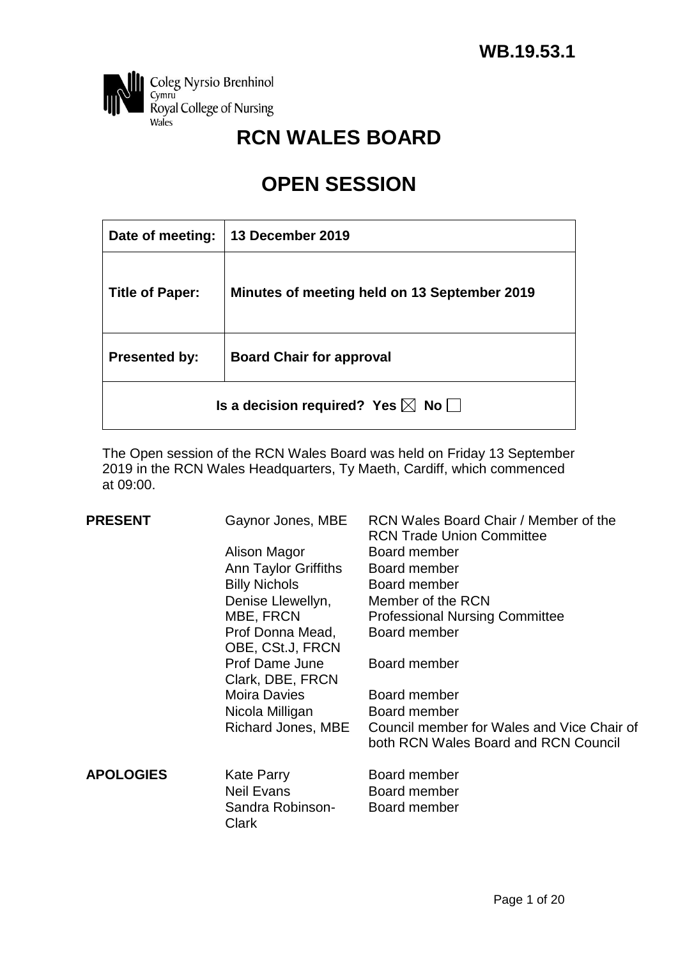

# **RCN WALES BOARD**

# **OPEN SESSION**

| Date of meeting:                                  | 13 December 2019                             |  |  |  |
|---------------------------------------------------|----------------------------------------------|--|--|--|
| <b>Title of Paper:</b>                            | Minutes of meeting held on 13 September 2019 |  |  |  |
| <b>Presented by:</b>                              | <b>Board Chair for approval</b>              |  |  |  |
| Is a decision required? Yes $\boxtimes$ No $\Box$ |                                              |  |  |  |

The Open session of the RCN Wales Board was held on Friday 13 September 2019 in the RCN Wales Headquarters, Ty Maeth, Cardiff, which commenced at 09:00.

| <b>PRESENT</b>   | Gaynor Jones, MBE                      | RCN Wales Board Chair / Member of the<br><b>RCN Trade Union Committee</b>          |
|------------------|----------------------------------------|------------------------------------------------------------------------------------|
|                  | Alison Magor                           | Board member                                                                       |
|                  | Ann Taylor Griffiths                   | Board member                                                                       |
|                  | <b>Billy Nichols</b>                   | Board member                                                                       |
|                  | Denise Llewellyn,                      | Member of the RCN                                                                  |
|                  | MBE, FRCN                              | <b>Professional Nursing Committee</b>                                              |
|                  | Prof Donna Mead,<br>OBE, CSt.J, FRCN   | Board member                                                                       |
|                  | Prof Dame June<br>Clark, DBE, FRCN     | Board member                                                                       |
|                  | <b>Moira Davies</b>                    | Board member                                                                       |
|                  | Nicola Milligan                        | Board member                                                                       |
|                  | Richard Jones, MBE                     | Council member for Wales and Vice Chair of<br>both RCN Wales Board and RCN Council |
| <b>APOLOGIES</b> | <b>Kate Parry</b><br><b>Neil Evans</b> | Board member<br>Board member                                                       |
|                  | Sandra Robinson-<br>Clark              | Board member                                                                       |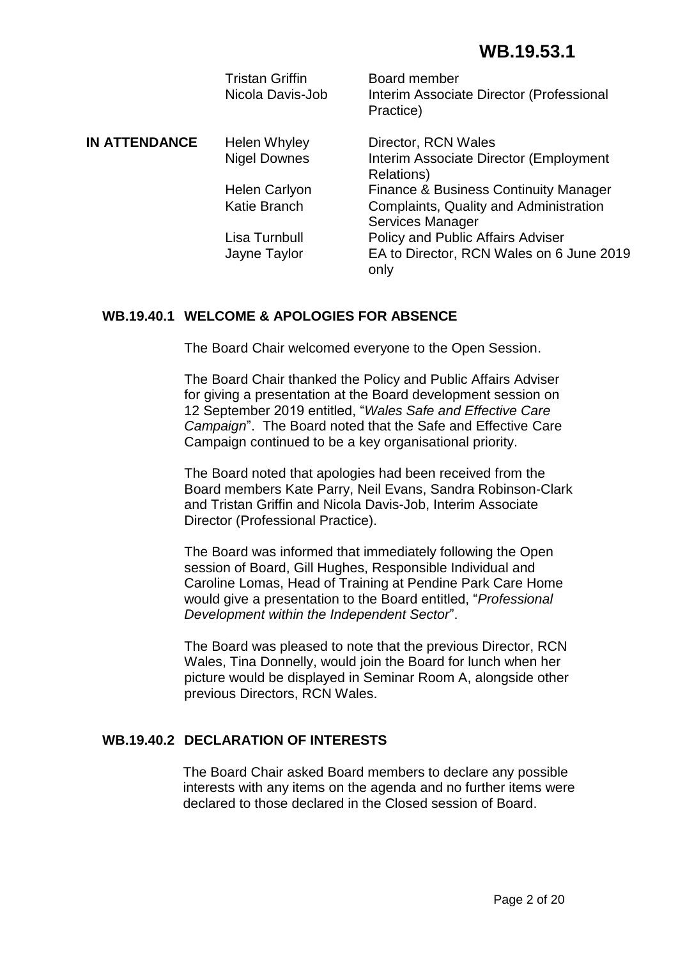|                      | <b>Tristan Griffin</b><br>Nicola Davis-Job | Board member<br>Interim Associate Director (Professional<br>Practice) |
|----------------------|--------------------------------------------|-----------------------------------------------------------------------|
| <b>IN ATTENDANCE</b> | <b>Helen Whyley</b>                        | Director, RCN Wales                                                   |
|                      | <b>Nigel Downes</b>                        | Interim Associate Director (Employment<br>Relations)                  |
|                      | <b>Helen Carlyon</b>                       | <b>Finance &amp; Business Continuity Manager</b>                      |
|                      | <b>Katie Branch</b>                        | Complaints, Quality and Administration<br><b>Services Manager</b>     |
|                      | Lisa Turnbull                              | Policy and Public Affairs Adviser                                     |
|                      | Jayne Taylor                               | EA to Director, RCN Wales on 6 June 2019<br>only                      |

# **WB.19.40.1 WELCOME & APOLOGIES FOR ABSENCE**

The Board Chair welcomed everyone to the Open Session.

The Board Chair thanked the Policy and Public Affairs Adviser for giving a presentation at the Board development session on 12 September 2019 entitled, "*Wales Safe and Effective Care Campaign*". The Board noted that the Safe and Effective Care Campaign continued to be a key organisational priority.

The Board noted that apologies had been received from the Board members Kate Parry, Neil Evans, Sandra Robinson-Clark and Tristan Griffin and Nicola Davis-Job, Interim Associate Director (Professional Practice).

The Board was informed that immediately following the Open session of Board, Gill Hughes, Responsible Individual and Caroline Lomas, Head of Training at Pendine Park Care Home would give a presentation to the Board entitled, "*Professional Development within the Independent Sector*".

The Board was pleased to note that the previous Director, RCN Wales, Tina Donnelly, would join the Board for lunch when her picture would be displayed in Seminar Room A, alongside other previous Directors, RCN Wales.

# **WB.19.40.2 DECLARATION OF INTERESTS**

The Board Chair asked Board members to declare any possible interests with any items on the agenda and no further items were declared to those declared in the Closed session of Board.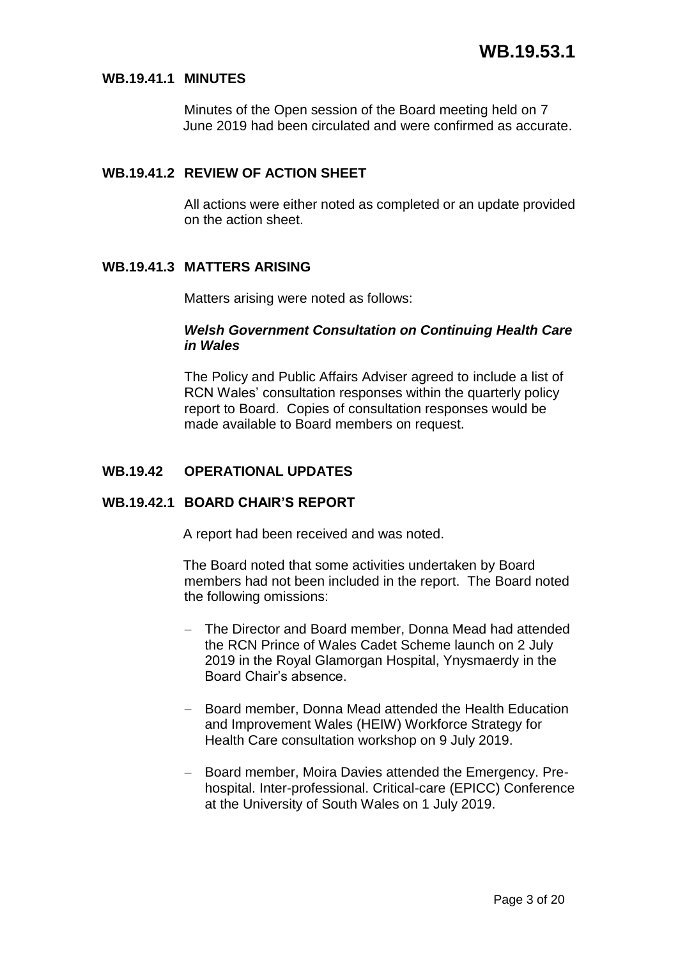#### **WB.19.41.1 MINUTES**

Minutes of the Open session of the Board meeting held on 7 June 2019 had been circulated and were confirmed as accurate.

# **WB.19.41.2 REVIEW OF ACTION SHEET**

All actions were either noted as completed or an update provided on the action sheet.

#### **WB.19.41.3 MATTERS ARISING**

Matters arising were noted as follows:

#### *Welsh Government Consultation on Continuing Health Care in Wales*

The Policy and Public Affairs Adviser agreed to include a list of RCN Wales' consultation responses within the quarterly policy report to Board. Copies of consultation responses would be made available to Board members on request.

#### **WB.19.42 OPERATIONAL UPDATES**

#### **WB.19.42.1 BOARD CHAIR'S REPORT**

A report had been received and was noted.

The Board noted that some activities undertaken by Board members had not been included in the report. The Board noted the following omissions:

- The Director and Board member, Donna Mead had attended the RCN Prince of Wales Cadet Scheme launch on 2 July 2019 in the Royal Glamorgan Hospital, Ynysmaerdy in the Board Chair's absence.
- Board member, Donna Mead attended the Health Education and Improvement Wales (HEIW) Workforce Strategy for Health Care consultation workshop on 9 July 2019.
- Board member, Moira Davies attended the Emergency. Prehospital. Inter-professional. Critical-care (EPICC) Conference at the University of South Wales on 1 July 2019.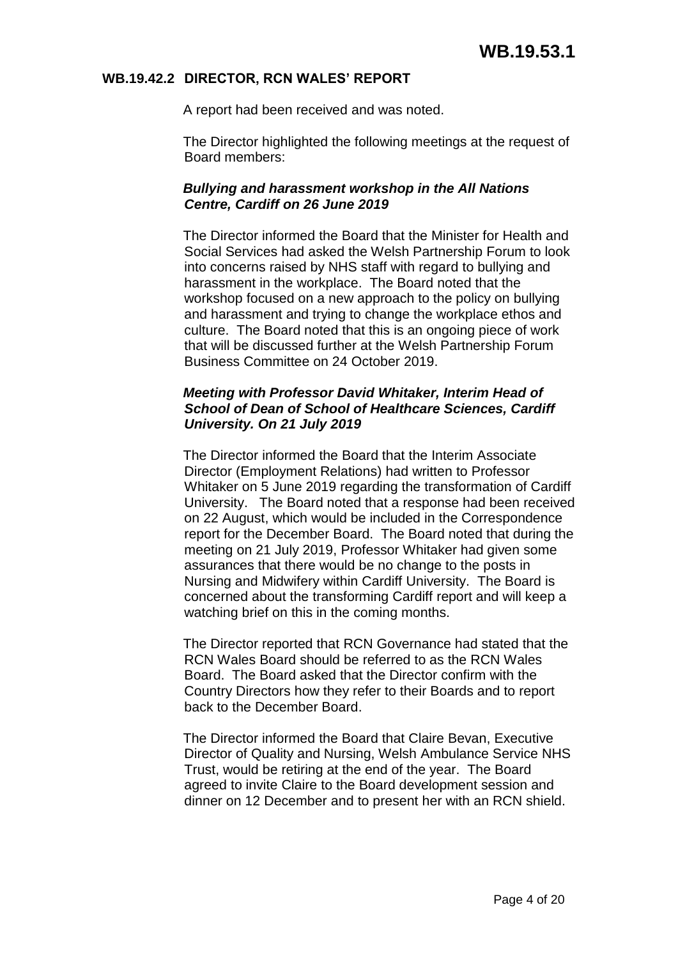#### **WB.19.42.2 DIRECTOR, RCN WALES' REPORT**

A report had been received and was noted.

The Director highlighted the following meetings at the request of Board members:

#### *Bullying and harassment workshop in the All Nations Centre, Cardiff on 26 June 2019*

The Director informed the Board that the Minister for Health and Social Services had asked the Welsh Partnership Forum to look into concerns raised by NHS staff with regard to bullying and harassment in the workplace. The Board noted that the workshop focused on a new approach to the policy on bullying and harassment and trying to change the workplace ethos and culture. The Board noted that this is an ongoing piece of work that will be discussed further at the Welsh Partnership Forum Business Committee on 24 October 2019.

#### *Meeting with Professor David Whitaker, Interim Head of School of Dean of School of Healthcare Sciences, Cardiff University. On 21 July 2019*

The Director informed the Board that the Interim Associate Director (Employment Relations) had written to Professor Whitaker on 5 June 2019 regarding the transformation of Cardiff University. The Board noted that a response had been received on 22 August, which would be included in the Correspondence report for the December Board. The Board noted that during the meeting on 21 July 2019, Professor Whitaker had given some assurances that there would be no change to the posts in Nursing and Midwifery within Cardiff University. The Board is concerned about the transforming Cardiff report and will keep a watching brief on this in the coming months.

The Director reported that RCN Governance had stated that the RCN Wales Board should be referred to as the RCN Wales Board. The Board asked that the Director confirm with the Country Directors how they refer to their Boards and to report back to the December Board.

The Director informed the Board that Claire Bevan, Executive Director of Quality and Nursing, Welsh Ambulance Service NHS Trust, would be retiring at the end of the year. The Board agreed to invite Claire to the Board development session and dinner on 12 December and to present her with an RCN shield.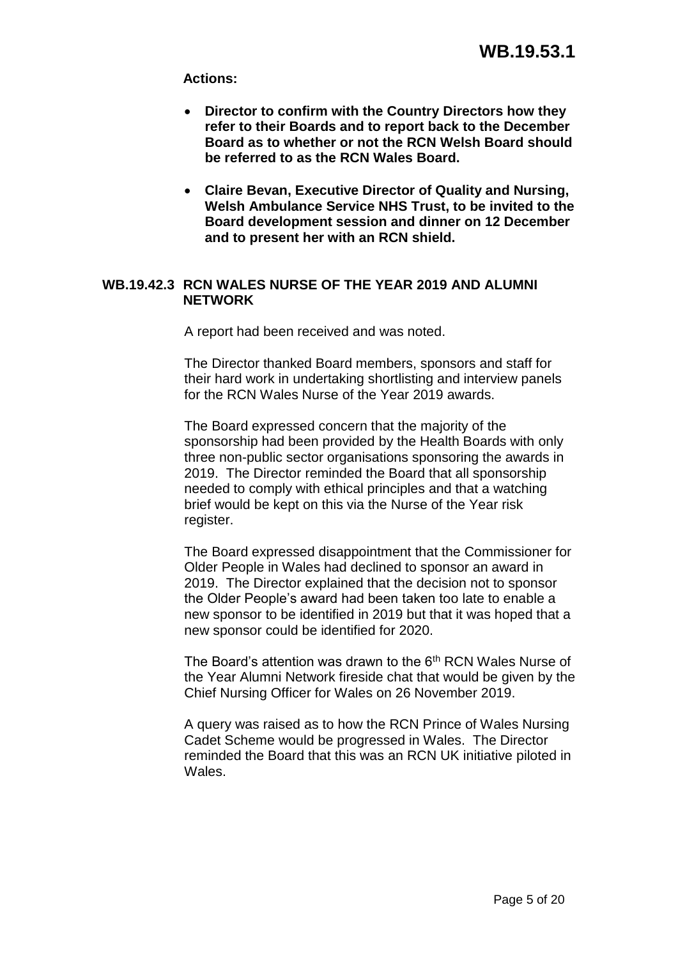**Actions:**

- **Director to confirm with the Country Directors how they refer to their Boards and to report back to the December Board as to whether or not the RCN Welsh Board should be referred to as the RCN Wales Board.**
- **Claire Bevan, Executive Director of Quality and Nursing, Welsh Ambulance Service NHS Trust, to be invited to the Board development session and dinner on 12 December and to present her with an RCN shield.**

# **WB.19.42.3 RCN WALES NURSE OF THE YEAR 2019 AND ALUMNI NETWORK**

A report had been received and was noted.

The Director thanked Board members, sponsors and staff for their hard work in undertaking shortlisting and interview panels for the RCN Wales Nurse of the Year 2019 awards.

The Board expressed concern that the majority of the sponsorship had been provided by the Health Boards with only three non-public sector organisations sponsoring the awards in 2019. The Director reminded the Board that all sponsorship needed to comply with ethical principles and that a watching brief would be kept on this via the Nurse of the Year risk register.

The Board expressed disappointment that the Commissioner for Older People in Wales had declined to sponsor an award in 2019. The Director explained that the decision not to sponsor the Older People's award had been taken too late to enable a new sponsor to be identified in 2019 but that it was hoped that a new sponsor could be identified for 2020.

The Board's attention was drawn to the 6<sup>th</sup> RCN Wales Nurse of the Year Alumni Network fireside chat that would be given by the Chief Nursing Officer for Wales on 26 November 2019.

A query was raised as to how the RCN Prince of Wales Nursing Cadet Scheme would be progressed in Wales. The Director reminded the Board that this was an RCN UK initiative piloted in Wales.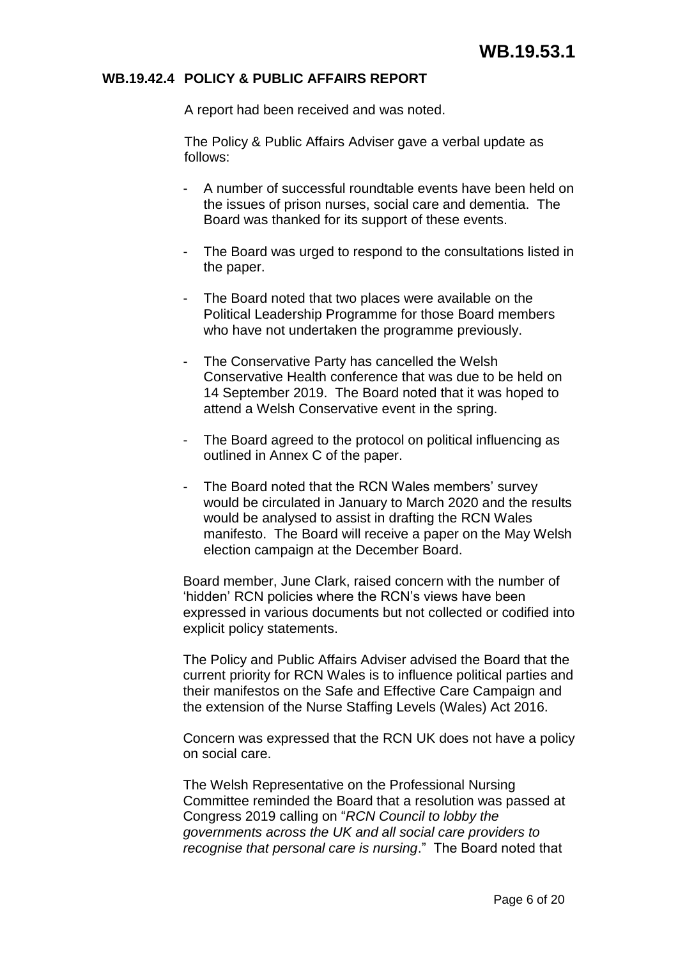#### **WB.19.42.4 POLICY & PUBLIC AFFAIRS REPORT**

A report had been received and was noted.

The Policy & Public Affairs Adviser gave a verbal update as follows:

- A number of successful roundtable events have been held on the issues of prison nurses, social care and dementia. The Board was thanked for its support of these events.
- The Board was urged to respond to the consultations listed in the paper.
- The Board noted that two places were available on the Political Leadership Programme for those Board members who have not undertaken the programme previously.
- The Conservative Party has cancelled the Welsh Conservative Health conference that was due to be held on 14 September 2019. The Board noted that it was hoped to attend a Welsh Conservative event in the spring.
- The Board agreed to the protocol on political influencing as outlined in Annex C of the paper.
- The Board noted that the RCN Wales members' survey would be circulated in January to March 2020 and the results would be analysed to assist in drafting the RCN Wales manifesto. The Board will receive a paper on the May Welsh election campaign at the December Board.

Board member, June Clark, raised concern with the number of 'hidden' RCN policies where the RCN's views have been expressed in various documents but not collected or codified into explicit policy statements.

The Policy and Public Affairs Adviser advised the Board that the current priority for RCN Wales is to influence political parties and their manifestos on the Safe and Effective Care Campaign and the extension of the Nurse Staffing Levels (Wales) Act 2016.

Concern was expressed that the RCN UK does not have a policy on social care.

The Welsh Representative on the Professional Nursing Committee reminded the Board that a resolution was passed at Congress 2019 calling on "*RCN Council to lobby the governments across the UK and all social care providers to recognise that personal care is nursing*." The Board noted that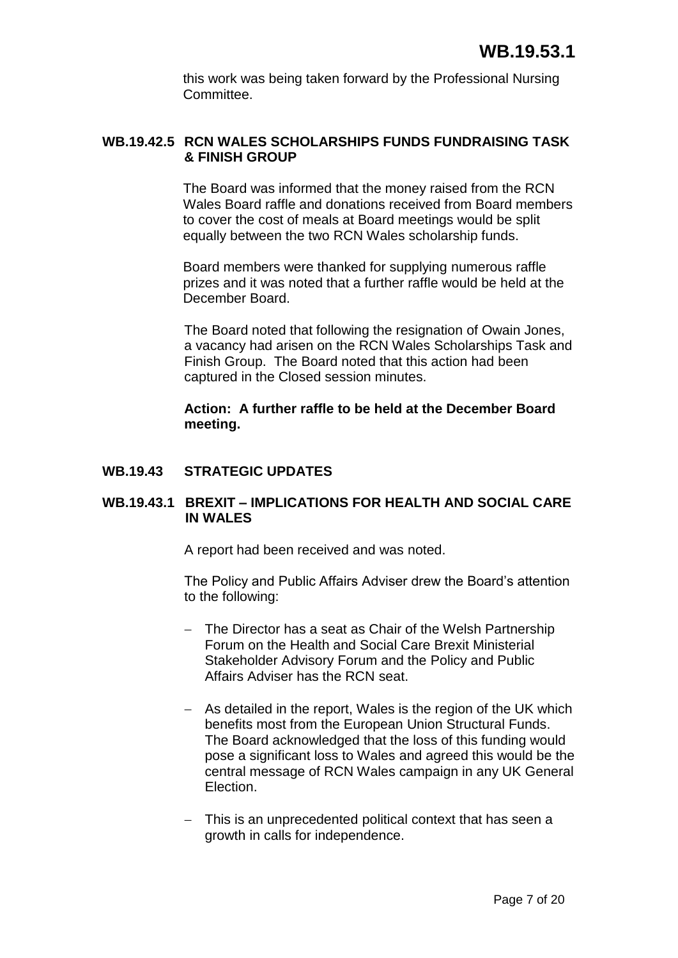this work was being taken forward by the Professional Nursing Committee.

# **WB.19.42.5 RCN WALES SCHOLARSHIPS FUNDS FUNDRAISING TASK & FINISH GROUP**

The Board was informed that the money raised from the RCN Wales Board raffle and donations received from Board members to cover the cost of meals at Board meetings would be split equally between the two RCN Wales scholarship funds.

Board members were thanked for supplying numerous raffle prizes and it was noted that a further raffle would be held at the December Board.

The Board noted that following the resignation of Owain Jones, a vacancy had arisen on the RCN Wales Scholarships Task and Finish Group. The Board noted that this action had been captured in the Closed session minutes.

**Action: A further raffle to be held at the December Board meeting.**

# **WB.19.43 STRATEGIC UPDATES**

# **WB.19.43.1 BREXIT – IMPLICATIONS FOR HEALTH AND SOCIAL CARE IN WALES**

A report had been received and was noted.

The Policy and Public Affairs Adviser drew the Board's attention to the following:

- The Director has a seat as Chair of the Welsh Partnership Forum on the Health and Social Care Brexit Ministerial Stakeholder Advisory Forum and the Policy and Public Affairs Adviser has the RCN seat.
- As detailed in the report, Wales is the region of the UK which benefits most from the European Union Structural Funds. The Board acknowledged that the loss of this funding would pose a significant loss to Wales and agreed this would be the central message of RCN Wales campaign in any UK General **Election**
- This is an unprecedented political context that has seen a growth in calls for independence.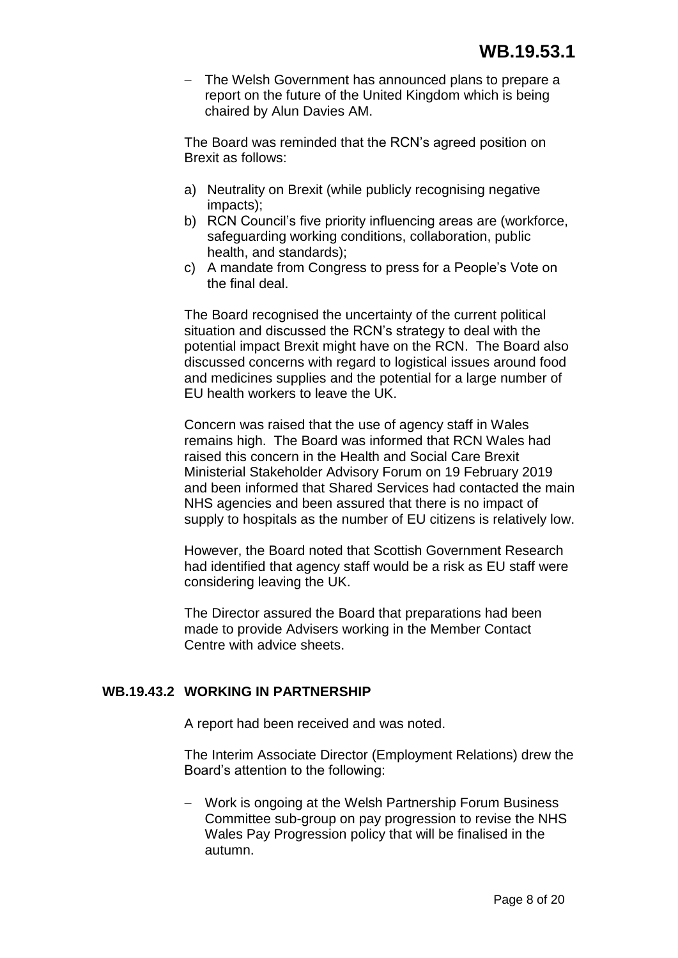- The Welsh Government has announced plans to prepare a report on the future of the United Kingdom which is being chaired by Alun Davies AM.

The Board was reminded that the RCN's agreed position on Brexit as follows:

- a) Neutrality on Brexit (while publicly recognising negative impacts);
- b) RCN Council's five priority influencing areas are (workforce, safeguarding working conditions, collaboration, public health, and standards);
- c) A mandate from Congress to press for a People's Vote on the final deal.

The Board recognised the uncertainty of the current political situation and discussed the RCN's strategy to deal with the potential impact Brexit might have on the RCN. The Board also discussed concerns with regard to logistical issues around food and medicines supplies and the potential for a large number of EU health workers to leave the UK.

Concern was raised that the use of agency staff in Wales remains high. The Board was informed that RCN Wales had raised this concern in the Health and Social Care Brexit Ministerial Stakeholder Advisory Forum on 19 February 2019 and been informed that Shared Services had contacted the main NHS agencies and been assured that there is no impact of supply to hospitals as the number of EU citizens is relatively low.

However, the Board noted that Scottish Government Research had identified that agency staff would be a risk as EU staff were considering leaving the UK.

The Director assured the Board that preparations had been made to provide Advisers working in the Member Contact Centre with advice sheets.

# **WB.19.43.2 WORKING IN PARTNERSHIP**

A report had been received and was noted.

The Interim Associate Director (Employment Relations) drew the Board's attention to the following:

 Work is ongoing at the Welsh Partnership Forum Business Committee sub-group on pay progression to revise the NHS Wales Pay Progression policy that will be finalised in the autumn.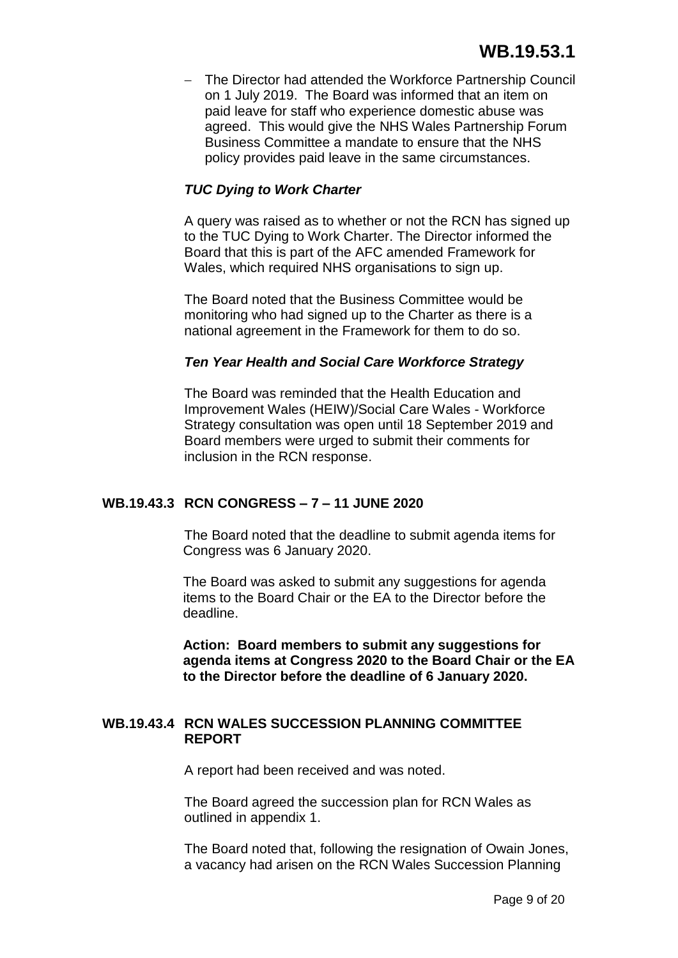- The Director had attended the Workforce Partnership Council on 1 July 2019. The Board was informed that an item on paid leave for staff who experience domestic abuse was agreed. This would give the NHS Wales Partnership Forum Business Committee a mandate to ensure that the NHS policy provides paid leave in the same circumstances.

# *TUC Dying to Work Charter*

A query was raised as to whether or not the RCN has signed up to the TUC Dying to Work Charter. The Director informed the Board that this is part of the AFC amended Framework for Wales, which required NHS organisations to sign up.

The Board noted that the Business Committee would be monitoring who had signed up to the Charter as there is a national agreement in the Framework for them to do so.

#### *Ten Year Health and Social Care Workforce Strategy*

The Board was reminded that the Health Education and Improvement Wales (HEIW)/Social Care Wales - Workforce Strategy consultation was open until 18 September 2019 and Board members were urged to submit their comments for inclusion in the RCN response.

#### **WB.19.43.3 RCN CONGRESS – 7 – 11 JUNE 2020**

The Board noted that the deadline to submit agenda items for Congress was 6 January 2020.

The Board was asked to submit any suggestions for agenda items to the Board Chair or the EA to the Director before the deadline.

**Action: Board members to submit any suggestions for agenda items at Congress 2020 to the Board Chair or the EA to the Director before the deadline of 6 January 2020.**

#### **WB.19.43.4 RCN WALES SUCCESSION PLANNING COMMITTEE REPORT**

A report had been received and was noted.

The Board agreed the succession plan for RCN Wales as outlined in appendix 1.

The Board noted that, following the resignation of Owain Jones, a vacancy had arisen on the RCN Wales Succession Planning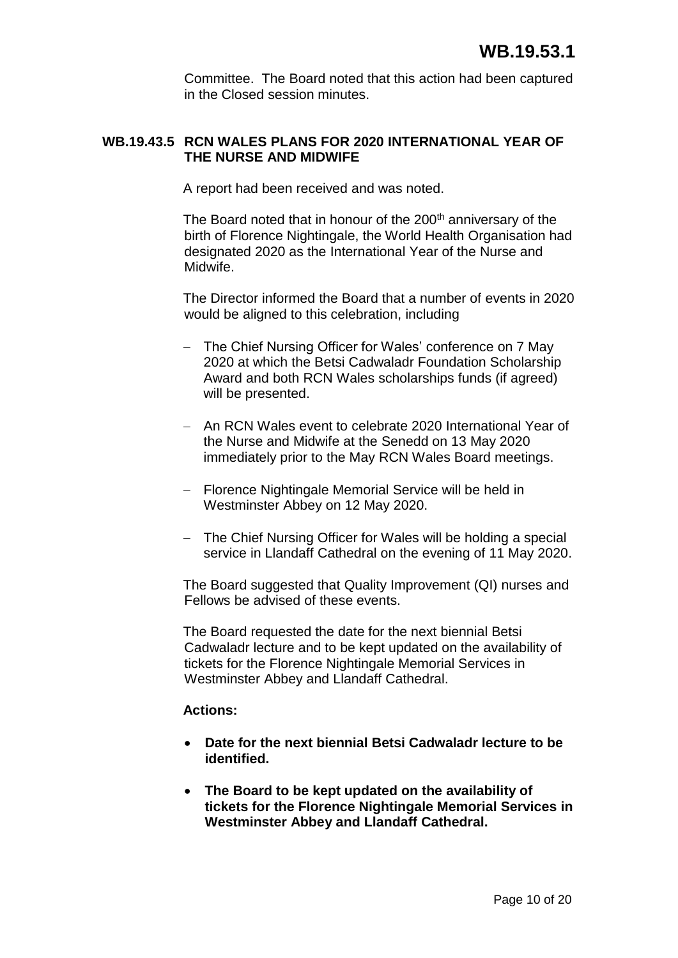Committee. The Board noted that this action had been captured in the Closed session minutes.

# **WB.19.43.5 RCN WALES PLANS FOR 2020 INTERNATIONAL YEAR OF THE NURSE AND MIDWIFE**

A report had been received and was noted.

The Board noted that in honour of the 200<sup>th</sup> anniversary of the birth of Florence Nightingale, the World Health Organisation had designated 2020 as the International Year of the Nurse and Midwife.

The Director informed the Board that a number of events in 2020 would be aligned to this celebration, including

- The Chief Nursing Officer for Wales' conference on 7 May 2020 at which the Betsi Cadwaladr Foundation Scholarship Award and both RCN Wales scholarships funds (if agreed) will be presented.
- An RCN Wales event to celebrate 2020 International Year of the Nurse and Midwife at the Senedd on 13 May 2020 immediately prior to the May RCN Wales Board meetings.
- Florence Nightingale Memorial Service will be held in Westminster Abbey on 12 May 2020.
- The Chief Nursing Officer for Wales will be holding a special service in Llandaff Cathedral on the evening of 11 May 2020.

The Board suggested that Quality Improvement (QI) nurses and Fellows be advised of these events.

The Board requested the date for the next biennial Betsi Cadwaladr lecture and to be kept updated on the availability of tickets for the Florence Nightingale Memorial Services in Westminster Abbey and Llandaff Cathedral.

#### **Actions:**

- **Date for the next biennial Betsi Cadwaladr lecture to be identified.**
- **The Board to be kept updated on the availability of tickets for the Florence Nightingale Memorial Services in Westminster Abbey and Llandaff Cathedral.**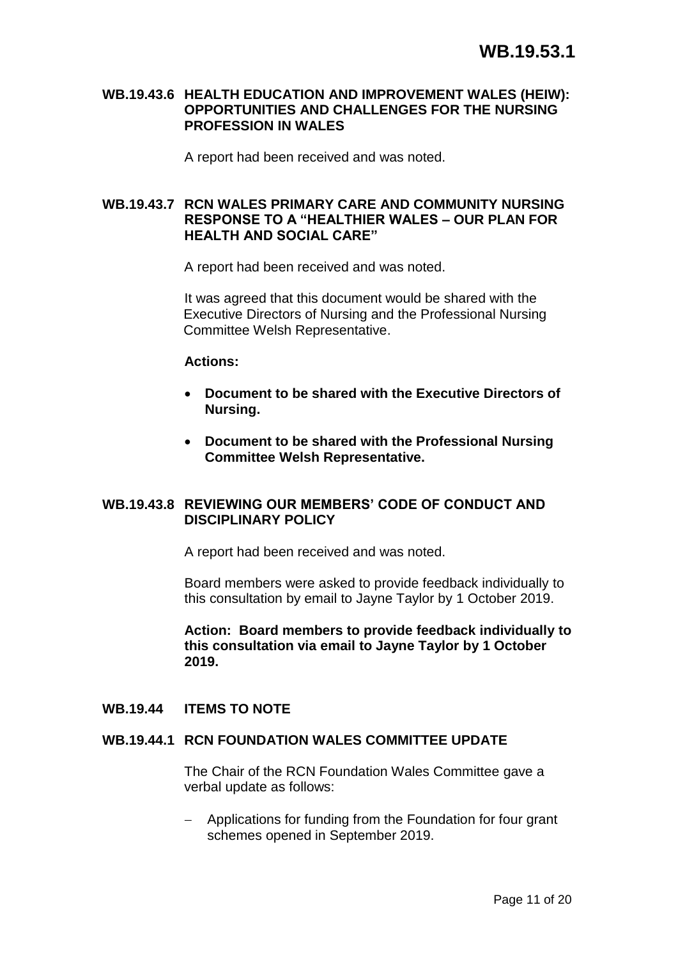#### **WB.19.43.6 HEALTH EDUCATION AND IMPROVEMENT WALES (HEIW): OPPORTUNITIES AND CHALLENGES FOR THE NURSING PROFESSION IN WALES**

A report had been received and was noted.

## **WB.19.43.7 RCN WALES PRIMARY CARE AND COMMUNITY NURSING RESPONSE TO A "HEALTHIER WALES – OUR PLAN FOR HEALTH AND SOCIAL CARE"**

A report had been received and was noted.

It was agreed that this document would be shared with the Executive Directors of Nursing and the Professional Nursing Committee Welsh Representative.

#### **Actions:**

- **Document to be shared with the Executive Directors of Nursing.**
- **Document to be shared with the Professional Nursing Committee Welsh Representative.**

#### **WB.19.43.8 REVIEWING OUR MEMBERS' CODE OF CONDUCT AND DISCIPLINARY POLICY**

A report had been received and was noted.

Board members were asked to provide feedback individually to this consultation by email to Jayne Taylor by 1 October 2019.

**Action: Board members to provide feedback individually to this consultation via email to Jayne Taylor by 1 October 2019.**

#### **WB.19.44 ITEMS TO NOTE**

#### **WB.19.44.1 RCN FOUNDATION WALES COMMITTEE UPDATE**

The Chair of the RCN Foundation Wales Committee gave a verbal update as follows:

- Applications for funding from the Foundation for four grant schemes opened in September 2019.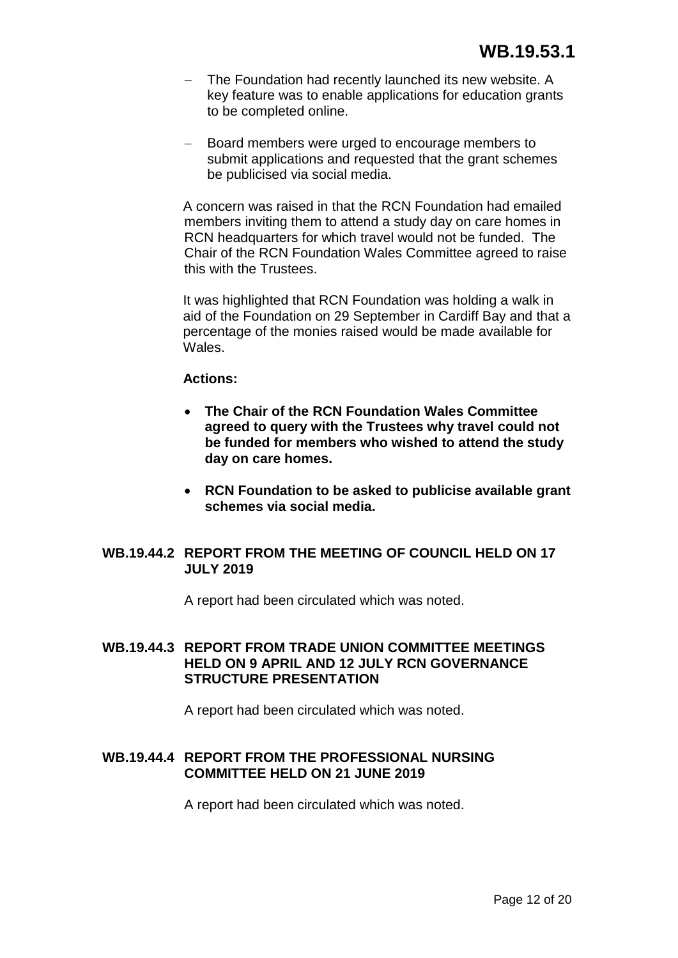- The Foundation had recently launched its new website. A key feature was to enable applications for education grants to be completed online.
- Board members were urged to encourage members to submit applications and requested that the grant schemes be publicised via social media.

A concern was raised in that the RCN Foundation had emailed members inviting them to attend a study day on care homes in RCN headquarters for which travel would not be funded. The Chair of the RCN Foundation Wales Committee agreed to raise this with the Trustees.

It was highlighted that RCN Foundation was holding a walk in aid of the Foundation on 29 September in Cardiff Bay and that a percentage of the monies raised would be made available for Wales.

#### **Actions:**

- **The Chair of the RCN Foundation Wales Committee agreed to query with the Trustees why travel could not be funded for members who wished to attend the study day on care homes.**
- **RCN Foundation to be asked to publicise available grant schemes via social media.**

#### **WB.19.44.2 REPORT FROM THE MEETING OF COUNCIL HELD ON 17 JULY 2019**

A report had been circulated which was noted.

# **WB.19.44.3 REPORT FROM TRADE UNION COMMITTEE MEETINGS HELD ON 9 APRIL AND 12 JULY RCN GOVERNANCE STRUCTURE PRESENTATION**

A report had been circulated which was noted.

#### **WB.19.44.4 REPORT FROM THE PROFESSIONAL NURSING COMMITTEE HELD ON 21 JUNE 2019**

A report had been circulated which was noted.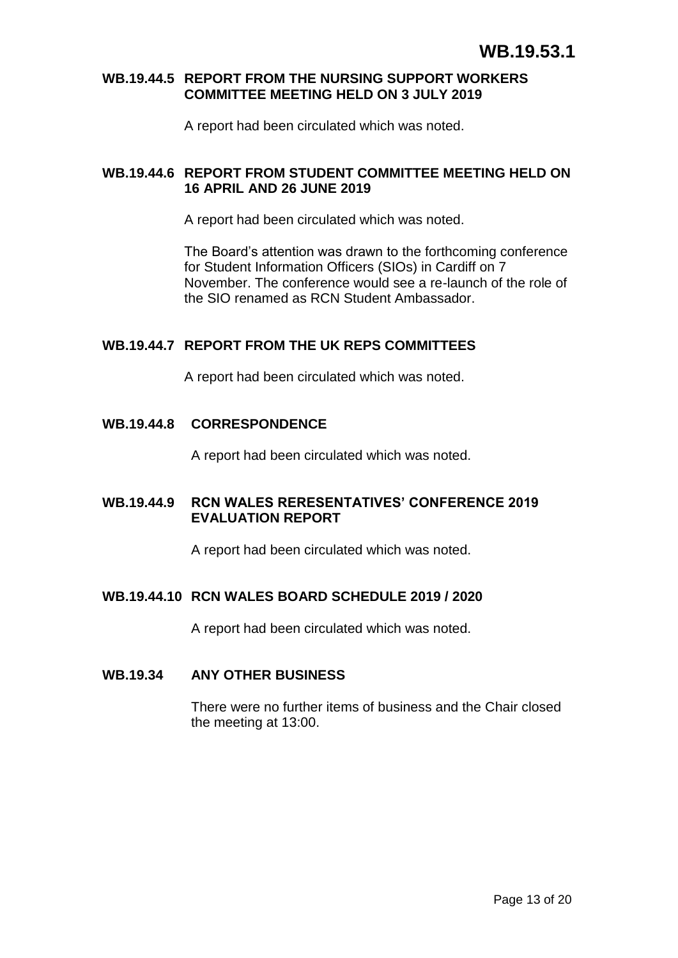#### **WB.19.44.5 REPORT FROM THE NURSING SUPPORT WORKERS COMMITTEE MEETING HELD ON 3 JULY 2019**

A report had been circulated which was noted.

# **WB.19.44.6 REPORT FROM STUDENT COMMITTEE MEETING HELD ON 16 APRIL AND 26 JUNE 2019**

A report had been circulated which was noted.

The Board's attention was drawn to the forthcoming conference for Student Information Officers (SIOs) in Cardiff on 7 November. The conference would see a re-launch of the role of the SIO renamed as RCN Student Ambassador.

#### **WB.19.44.7 REPORT FROM THE UK REPS COMMITTEES**

A report had been circulated which was noted.

#### **WB.19.44.8 CORRESPONDENCE**

A report had been circulated which was noted.

#### **WB.19.44.9 RCN WALES RERESENTATIVES' CONFERENCE 2019 EVALUATION REPORT**

A report had been circulated which was noted.

#### **WB.19.44.10 RCN WALES BOARD SCHEDULE 2019 / 2020**

A report had been circulated which was noted.

#### **WB.19.34 ANY OTHER BUSINESS**

There were no further items of business and the Chair closed the meeting at 13:00.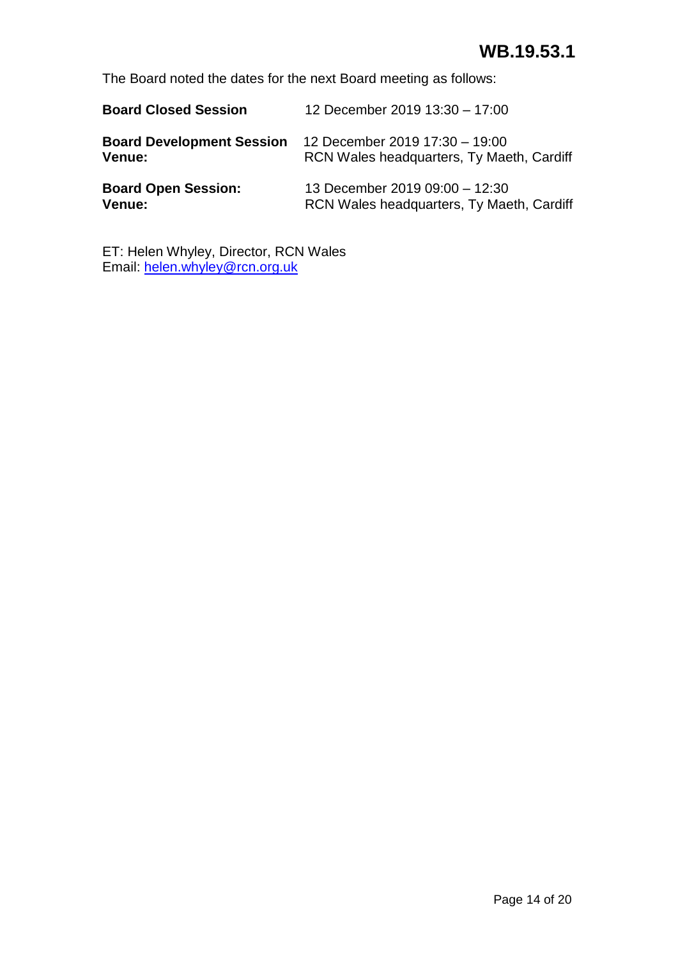# **WB.19.53.1**

The Board noted the dates for the next Board meeting as follows:

| <b>Board Closed Session</b>      | 12 December 2019 13:30 - 17:00            |
|----------------------------------|-------------------------------------------|
| <b>Board Development Session</b> | 12 December 2019 17:30 - 19:00            |
| Venue:                           | RCN Wales headquarters, Ty Maeth, Cardiff |
| <b>Board Open Session:</b>       | 13 December 2019 09:00 - 12:30            |
| Venue:                           | RCN Wales headquarters, Ty Maeth, Cardiff |

ET: Helen Whyley, Director, RCN Wales Email: [helen.whyley@rcn.org.uk](mailto:helen.whyley@rcn.org.uk)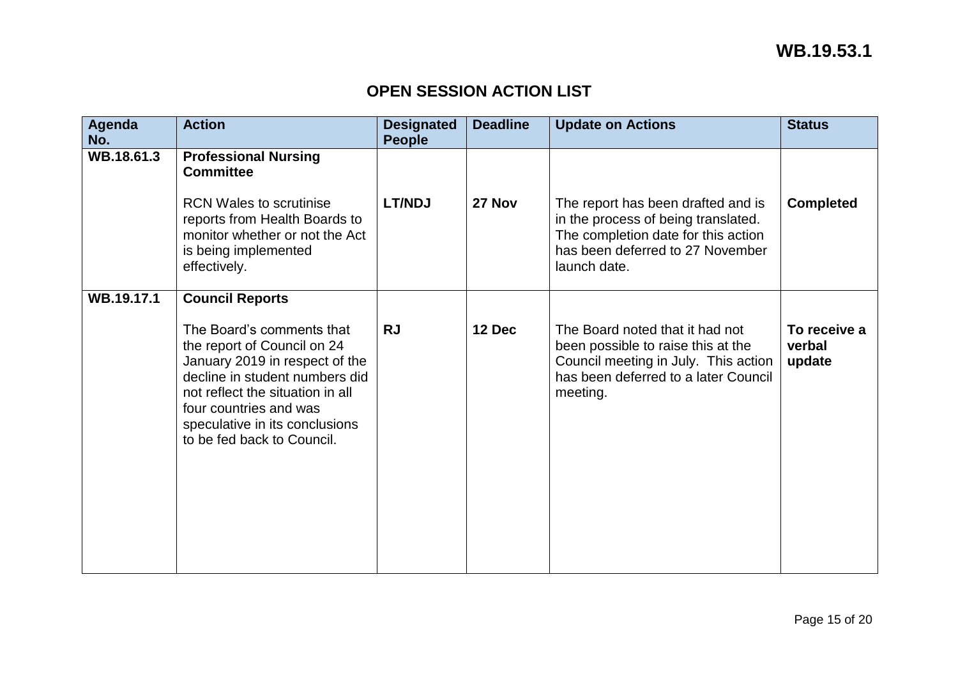# **OPEN SESSION ACTION LIST**

| Agenda<br>No. | <b>Action</b>                                                                                                                                                                                                                                              | <b>Designated</b><br><b>People</b> | <b>Deadline</b> | <b>Update on Actions</b>                                                                                                                                             | <b>Status</b>                    |
|---------------|------------------------------------------------------------------------------------------------------------------------------------------------------------------------------------------------------------------------------------------------------------|------------------------------------|-----------------|----------------------------------------------------------------------------------------------------------------------------------------------------------------------|----------------------------------|
| WB.18.61.3    | <b>Professional Nursing</b><br><b>Committee</b>                                                                                                                                                                                                            |                                    |                 |                                                                                                                                                                      |                                  |
|               | <b>RCN Wales to scrutinise</b><br>reports from Health Boards to<br>monitor whether or not the Act<br>is being implemented<br>effectively.                                                                                                                  | <b>LT/NDJ</b>                      | 27 Nov          | The report has been drafted and is<br>in the process of being translated.<br>The completion date for this action<br>has been deferred to 27 November<br>launch date. | <b>Completed</b>                 |
| WB.19.17.1    | <b>Council Reports</b>                                                                                                                                                                                                                                     |                                    |                 |                                                                                                                                                                      |                                  |
|               | The Board's comments that<br>the report of Council on 24<br>January 2019 in respect of the<br>decline in student numbers did<br>not reflect the situation in all<br>four countries and was<br>speculative in its conclusions<br>to be fed back to Council. | <b>RJ</b>                          | 12 Dec          | The Board noted that it had not<br>been possible to raise this at the<br>Council meeting in July. This action<br>has been deferred to a later Council<br>meeting.    | To receive a<br>verbal<br>update |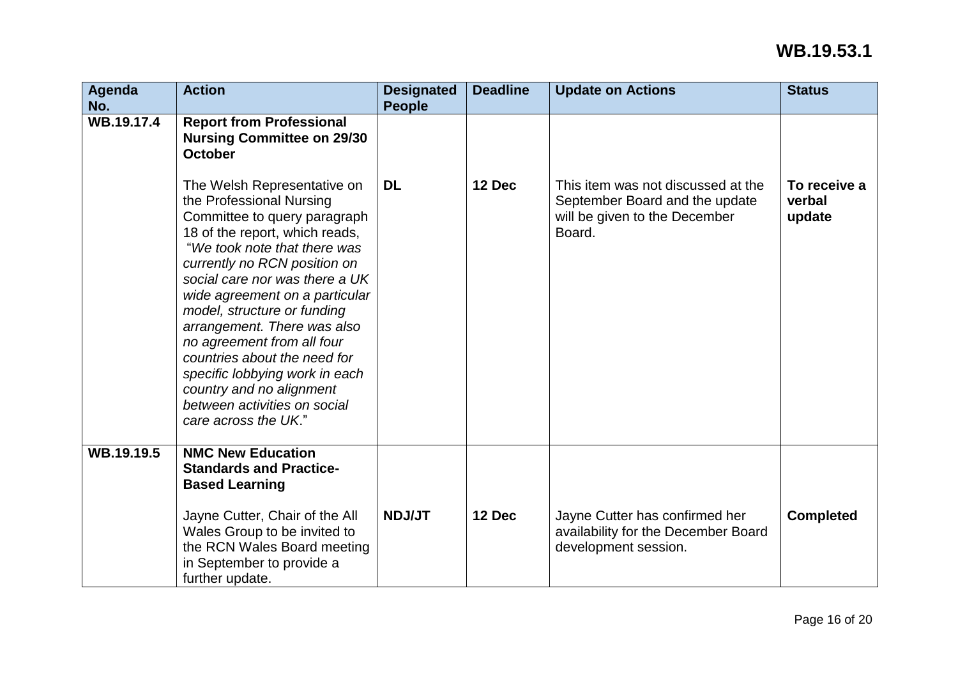| Agenda<br>No. | <b>Action</b>                                                                                                                                                                                                                                                                                                                                                                                                                                                                                                   | <b>Designated</b><br><b>People</b> | <b>Deadline</b> | <b>Update on Actions</b>                                                                                        | <b>Status</b>                    |
|---------------|-----------------------------------------------------------------------------------------------------------------------------------------------------------------------------------------------------------------------------------------------------------------------------------------------------------------------------------------------------------------------------------------------------------------------------------------------------------------------------------------------------------------|------------------------------------|-----------------|-----------------------------------------------------------------------------------------------------------------|----------------------------------|
| WB.19.17.4    | <b>Report from Professional</b><br><b>Nursing Committee on 29/30</b><br><b>October</b>                                                                                                                                                                                                                                                                                                                                                                                                                          |                                    |                 |                                                                                                                 |                                  |
|               | The Welsh Representative on<br>the Professional Nursing<br>Committee to query paragraph<br>18 of the report, which reads,<br>"We took note that there was<br>currently no RCN position on<br>social care nor was there a UK<br>wide agreement on a particular<br>model, structure or funding<br>arrangement. There was also<br>no agreement from all four<br>countries about the need for<br>specific lobbying work in each<br>country and no alignment<br>between activities on social<br>care across the UK." | <b>DL</b>                          | 12 Dec          | This item was not discussed at the<br>September Board and the update<br>will be given to the December<br>Board. | To receive a<br>verbal<br>update |
| WB.19.19.5    | <b>NMC New Education</b><br><b>Standards and Practice-</b><br><b>Based Learning</b>                                                                                                                                                                                                                                                                                                                                                                                                                             |                                    |                 |                                                                                                                 |                                  |
|               | Jayne Cutter, Chair of the All<br>Wales Group to be invited to<br>the RCN Wales Board meeting<br>in September to provide a<br>further update.                                                                                                                                                                                                                                                                                                                                                                   | <b>NDJ/JT</b>                      | 12 Dec          | Jayne Cutter has confirmed her<br>availability for the December Board<br>development session.                   | <b>Completed</b>                 |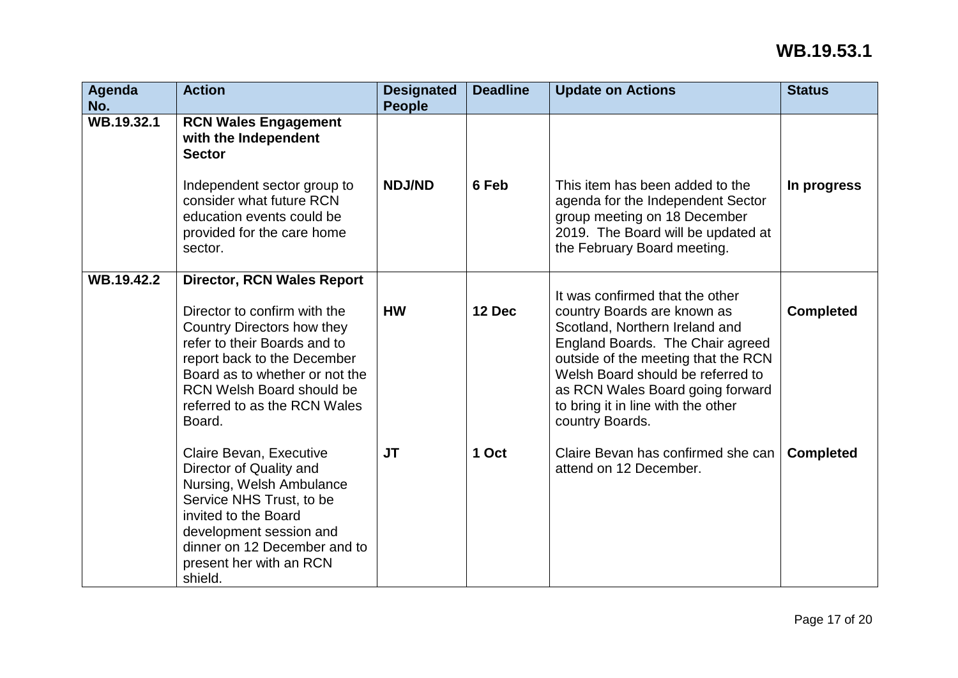| Agenda<br>No. | <b>Action</b>                                                                                                                                                                                                                                                                  | <b>Designated</b><br><b>People</b> | <b>Deadline</b> | <b>Update on Actions</b>                                                                                                                                                                                                                                                                                      | <b>Status</b>    |
|---------------|--------------------------------------------------------------------------------------------------------------------------------------------------------------------------------------------------------------------------------------------------------------------------------|------------------------------------|-----------------|---------------------------------------------------------------------------------------------------------------------------------------------------------------------------------------------------------------------------------------------------------------------------------------------------------------|------------------|
| WB.19.32.1    | <b>RCN Wales Engagement</b><br>with the Independent<br><b>Sector</b>                                                                                                                                                                                                           |                                    |                 |                                                                                                                                                                                                                                                                                                               |                  |
|               | Independent sector group to<br>consider what future RCN<br>education events could be<br>provided for the care home<br>sector.                                                                                                                                                  | <b>NDJ/ND</b>                      | 6 Feb           | This item has been added to the<br>agenda for the Independent Sector<br>group meeting on 18 December<br>2019. The Board will be updated at<br>the February Board meeting.                                                                                                                                     | In progress      |
| WB.19.42.2    | <b>Director, RCN Wales Report</b><br>Director to confirm with the<br>Country Directors how they<br>refer to their Boards and to<br>report back to the December<br>Board as to whether or not the<br><b>RCN Welsh Board should be</b><br>referred to as the RCN Wales<br>Board. | <b>HW</b>                          | 12 Dec          | It was confirmed that the other<br>country Boards are known as<br>Scotland, Northern Ireland and<br>England Boards. The Chair agreed<br>outside of the meeting that the RCN<br>Welsh Board should be referred to<br>as RCN Wales Board going forward<br>to bring it in line with the other<br>country Boards. | <b>Completed</b> |
|               | Claire Bevan, Executive<br>Director of Quality and<br>Nursing, Welsh Ambulance<br>Service NHS Trust, to be<br>invited to the Board<br>development session and<br>dinner on 12 December and to<br>present her with an RCN<br>shield.                                            | <b>JT</b>                          | 1 Oct           | Claire Bevan has confirmed she can<br>attend on 12 December.                                                                                                                                                                                                                                                  | <b>Completed</b> |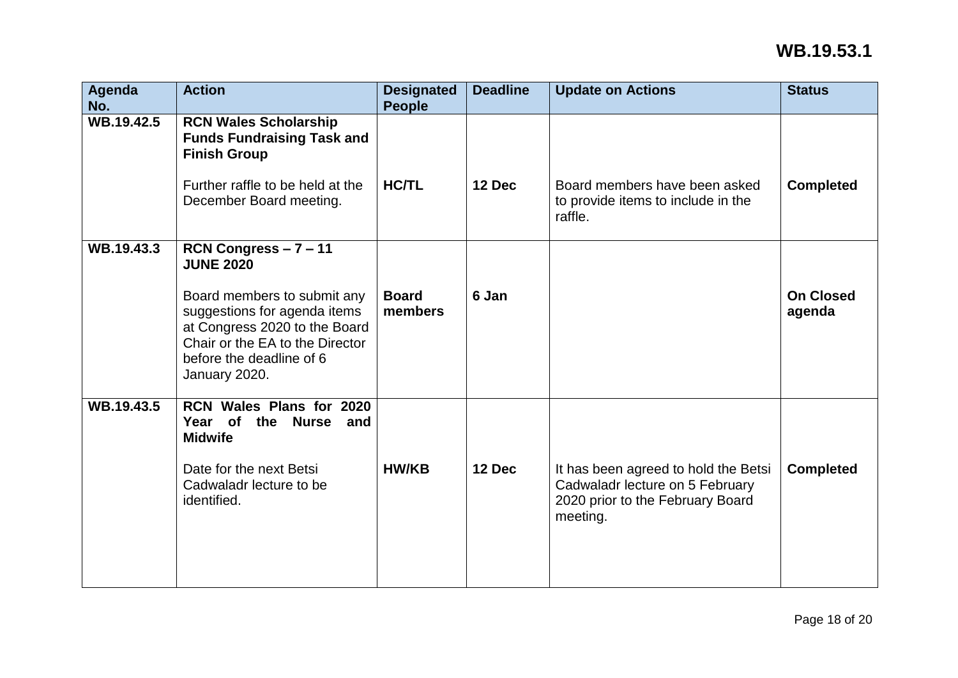| Agenda<br>No. | <b>Action</b>                                                                                                                                                                | <b>Designated</b><br><b>People</b> | <b>Deadline</b> | <b>Update on Actions</b>                                                                                                | <b>Status</b>              |
|---------------|------------------------------------------------------------------------------------------------------------------------------------------------------------------------------|------------------------------------|-----------------|-------------------------------------------------------------------------------------------------------------------------|----------------------------|
| WB.19.42.5    | <b>RCN Wales Scholarship</b><br><b>Funds Fundraising Task and</b><br><b>Finish Group</b><br>Further raffle to be held at the<br>December Board meeting.                      | <b>HC/TL</b>                       | 12 Dec          | Board members have been asked<br>to provide items to include in the<br>raffle.                                          | <b>Completed</b>           |
| WB.19.43.3    | RCN Congress $-7 - 11$                                                                                                                                                       |                                    |                 |                                                                                                                         |                            |
|               | <b>JUNE 2020</b>                                                                                                                                                             |                                    |                 |                                                                                                                         |                            |
|               | Board members to submit any<br>suggestions for agenda items<br>at Congress 2020 to the Board<br>Chair or the EA to the Director<br>before the deadline of 6<br>January 2020. | <b>Board</b><br>members            | 6 Jan           |                                                                                                                         | <b>On Closed</b><br>agenda |
| WB.19.43.5    | RCN Wales Plans for 2020<br>Year of<br><b>Nurse</b><br>the<br>and<br><b>Midwife</b>                                                                                          |                                    |                 |                                                                                                                         |                            |
|               | Date for the next Betsi<br>Cadwaladr lecture to be<br>identified.                                                                                                            | <b>HW/KB</b>                       | 12 Dec          | It has been agreed to hold the Betsi<br>Cadwaladr lecture on 5 February<br>2020 prior to the February Board<br>meeting. | <b>Completed</b>           |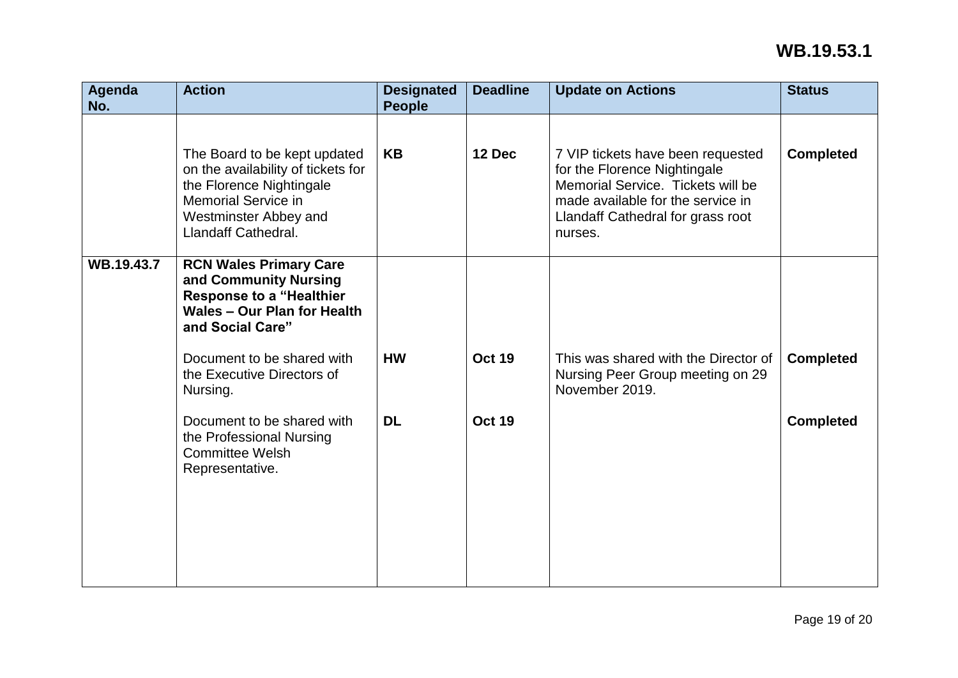| Agenda<br>No. | <b>Action</b>                                                                                                                                                                       | <b>Designated</b><br><b>People</b> | <b>Deadline</b> | <b>Update on Actions</b>                                                                                                                                                                    | <b>Status</b>    |
|---------------|-------------------------------------------------------------------------------------------------------------------------------------------------------------------------------------|------------------------------------|-----------------|---------------------------------------------------------------------------------------------------------------------------------------------------------------------------------------------|------------------|
|               | The Board to be kept updated<br>on the availability of tickets for<br>the Florence Nightingale<br><b>Memorial Service in</b><br><b>Westminster Abbey and</b><br>Llandaff Cathedral. | <b>KB</b>                          | 12 Dec          | 7 VIP tickets have been requested<br>for the Florence Nightingale<br>Memorial Service. Tickets will be<br>made available for the service in<br>Llandaff Cathedral for grass root<br>nurses. | <b>Completed</b> |
| WB.19.43.7    | <b>RCN Wales Primary Care</b><br>and Community Nursing<br><b>Response to a "Healthier</b><br><b>Wales - Our Plan for Health</b><br>and Social Care"                                 |                                    |                 |                                                                                                                                                                                             |                  |
|               | Document to be shared with<br>the Executive Directors of<br>Nursing.                                                                                                                | <b>HW</b>                          | <b>Oct 19</b>   | This was shared with the Director of<br>Nursing Peer Group meeting on 29<br>November 2019.                                                                                                  | <b>Completed</b> |
|               | Document to be shared with<br>the Professional Nursing<br><b>Committee Welsh</b><br>Representative.                                                                                 | <b>DL</b>                          | <b>Oct 19</b>   |                                                                                                                                                                                             | <b>Completed</b> |